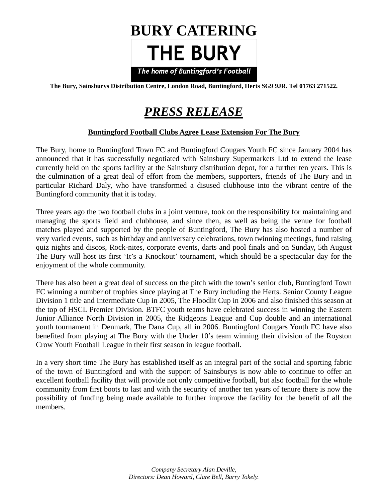

**The Bury, Sainsburys Distribution Centre, London Road, Buntingford, Herts SG9 9JR. Tel 01763 271522.** 

# *PRESS RELEASE*

# **Buntingford Football Clubs Agree Lease Extension For The Bury**

The Bury, home to Buntingford Town FC and Buntingford Cougars Youth FC since January 2004 has announced that it has successfully negotiated with Sainsbury Supermarkets Ltd to extend the lease currently held on the sports facility at the Sainsbury distribution depot, for a further ten years. This is the culmination of a great deal of effort from the members, supporters, friends of The Bury and in particular Richard Daly, who have transformed a disused clubhouse into the vibrant centre of the Buntingford community that it is today.

Three years ago the two football clubs in a joint venture, took on the responsibility for maintaining and managing the sports field and clubhouse, and since then, as well as being the venue for football matches played and supported by the people of Buntingford, The Bury has also hosted a number of very varied events, such as birthday and anniversary celebrations, town twinning meetings, fund raising quiz nights and discos, Rock-nites, corporate events, darts and pool finals and on Sunday, 5th August The Bury will host its first 'It's a Knockout' tournament, which should be a spectacular day for the enjoyment of the whole community.

There has also been a great deal of success on the pitch with the town's senior club, Buntingford Town FC winning a number of trophies since playing at The Bury including the Herts. Senior County League Division 1 title and Intermediate Cup in 2005, The Floodlit Cup in 2006 and also finished this season at the top of HSCL Premier Division. BTFC youth teams have celebrated success in winning the Eastern Junior Alliance North Division in 2005, the Ridgeons League and Cup double and an international youth tournament in Denmark, The Dana Cup, all in 2006. Buntingford Cougars Youth FC have also benefited from playing at The Bury with the Under 10's team winning their division of the Royston Crow Youth Football League in their first season in league football.

In a very short time The Bury has established itself as an integral part of the social and sporting fabric of the town of Buntingford and with the support of Sainsburys is now able to continue to offer an excellent football facility that will provide not only competitive football, but also football for the whole community from first boots to last and with the security of another ten years of tenure there is now the possibility of funding being made available to further improve the facility for the benefit of all the members.